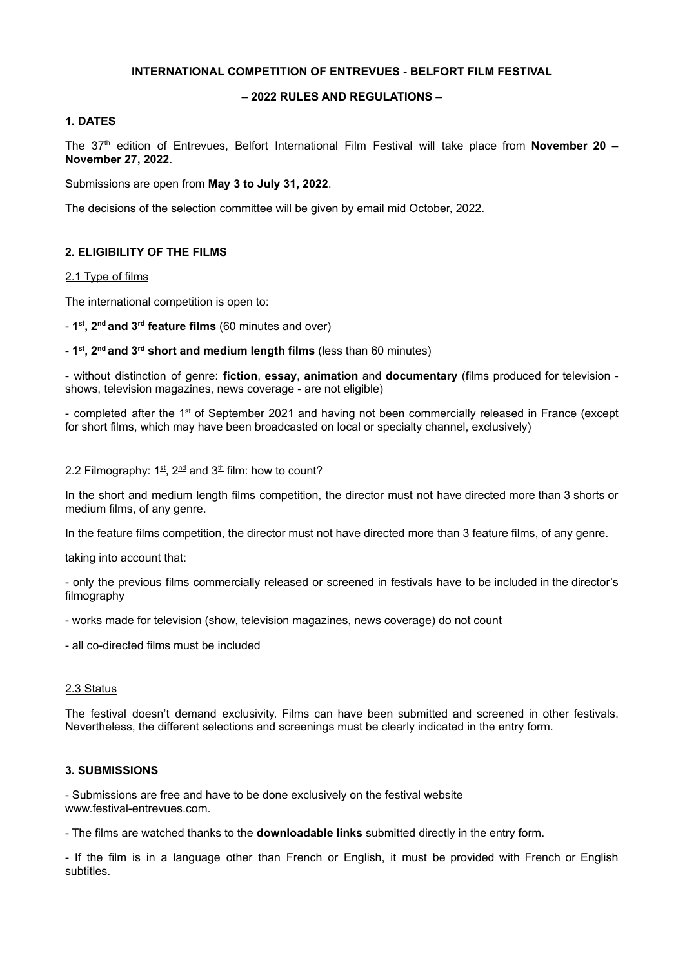## **INTERNATIONAL COMPETITION OF ENTREVUES - BELFORT FILM FESTIVAL**

# **– 2022 RULES AND REGULATIONS –**

# **1. DATES**

The 37 th edition of Entrevues, Belfort International Film Festival will take place from **November 20 – November 27, 2022**.

Submissions are open from **May 3 to July 31, 2022**.

The decisions of the selection committee will be given by email mid October, 2022.

# **2. ELIGIBILITY OF THE FILMS**

### 2.1 Type of films

The international competition is open to:

- **1 st , 2 nd and 3 rd feature films** (60 minutes and over)

- **1 st , 2 nd and 3 rd short and medium length films** (less than 60 minutes)

- without distinction of genre: **fiction**, **essay**, **animation** and **documentary** (films produced for television shows, television magazines, news coverage - are not eligible)

- completed after the 1<sup>st</sup> of September 2021 and having not been commercially released in France (except for short films, which may have been broadcasted on local or specialty channel, exclusively)

### 2.2 Filmography: 1st, 2<sup>nd</sup> and 3<sup>th</sup> film: how to count?

In the short and medium length films competition, the director must not have directed more than 3 shorts or medium films, of any genre.

In the feature films competition, the director must not have directed more than 3 feature films, of any genre.

taking into account that:

- only the previous films commercially released or screened in festivals have to be included in the director's filmography

- works made for television (show, television magazines, news coverage) do not count

- all co-directed films must be included

#### 2.3 Status

The festival doesn't demand exclusivity. Films can have been submitted and screened in other festivals. Nevertheless, the different selections and screenings must be clearly indicated in the entry form.

#### **3. SUBMISSIONS**

- Submissions are free and have to be done exclusively on the festival website www.festival-entrevues.com.

- The films are watched thanks to the **downloadable links** submitted directly in the entry form.

- If the film is in a language other than French or English, it must be provided with French or English subtitles.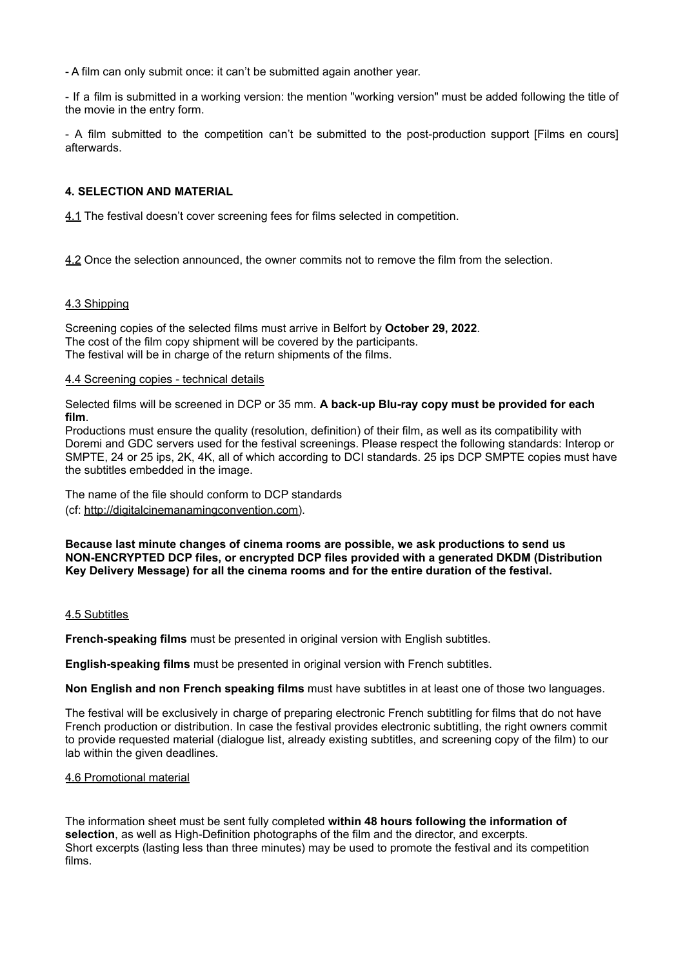- A film can only submit once: it can't be submitted again another year.

- If a film is submitted in a working version: the mention "working version" must be added following the title of the movie in the entry form.

- A film submitted to the competition can't be submitted to the post-production support [Films en cours] afterwards.

### **4. SELECTION AND MATERIAL**

4.1 The festival doesn't cover screening fees for films selected in competition.

4.2 Once the selection announced, the owner commits not to remove the film from the selection.

#### 4.3 Shipping

Screening copies of the selected films must arrive in Belfort by **October 29, 2022**. The cost of the film copy shipment will be covered by the participants. The festival will be in charge of the return shipments of the films.

### 4.4 Screening copies - technical details

Selected films will be screened in DCP or 35 mm. **A back-up Blu-ray copy must be provided for each film**.

Productions must ensure the quality (resolution, definition) of their film, as well as its compatibility with Doremi and GDC servers used for the festival screenings. Please respect the following standards: Interop or SMPTE, 24 or 25 ips, 2K, 4K, all of which according to DCI standards. 25 ips DCP SMPTE copies must have the subtitles embedded in the image.

The name of the file should conform to DCP standards (cf: [http://digitalcinemanamingconvention.com\)](http://digitalcinemanamingconvention.com).

**Because last minute changes of cinema rooms are possible, we ask productions to send us NON-ENCRYPTED DCP files, or encrypted DCP files provided with a generated DKDM (Distribution Key Delivery Message) for all the cinema rooms and for the entire duration of the festival.**

#### 4.5 Subtitles

**French-speaking films** must be presented in original version with English subtitles.

**English-speaking films** must be presented in original version with French subtitles.

**Non English and non French speaking films** must have subtitles in at least one of those two languages.

The festival will be exclusively in charge of preparing electronic French subtitling for films that do not have French production or distribution. In case the festival provides electronic subtitling, the right owners commit to provide requested material (dialogue list, already existing subtitles, and screening copy of the film) to our lab within the given deadlines.

#### 4.6 Promotional material

The information sheet must be sent fully completed **within 48 hours following the information of selection**, as well as High-Definition photographs of the film and the director, and excerpts. Short excerpts (lasting less than three minutes) may be used to promote the festival and its competition films.